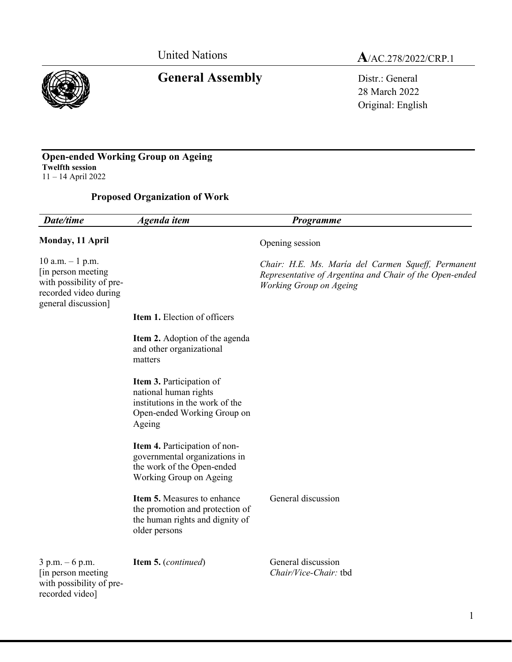# General Assembly **Distrement Contact Contact Assembly**

# United Nations<br> **A**/AC.278/2022/CRP.1

28 March 2022 Original: English

#### **Open-ended Working Group on Ageing Twelfth session** 11 – 14 April 2022

### **Proposed Organization of Work**

| Date/time                                                                                                             | Agenda item                                                                                                                   | Programme                                                                                                                                |
|-----------------------------------------------------------------------------------------------------------------------|-------------------------------------------------------------------------------------------------------------------------------|------------------------------------------------------------------------------------------------------------------------------------------|
| Monday, 11 April                                                                                                      |                                                                                                                               | Opening session                                                                                                                          |
| $10$ a.m. $-1$ p.m.<br>[in person meeting<br>with possibility of pre-<br>recorded video during<br>general discussion] |                                                                                                                               | Chair: H.E. Ms. María del Carmen Squeff, Permanent<br>Representative of Argentina and Chair of the Open-ended<br>Working Group on Ageing |
|                                                                                                                       | Item 1. Election of officers                                                                                                  |                                                                                                                                          |
|                                                                                                                       | <b>Item 2.</b> Adoption of the agenda<br>and other organizational<br>matters                                                  |                                                                                                                                          |
|                                                                                                                       | Item 3. Participation of<br>national human rights<br>institutions in the work of the<br>Open-ended Working Group on<br>Ageing |                                                                                                                                          |
|                                                                                                                       | Item 4. Participation of non-<br>governmental organizations in<br>the work of the Open-ended<br>Working Group on Ageing       |                                                                                                                                          |
|                                                                                                                       | Item 5. Measures to enhance<br>the promotion and protection of<br>the human rights and dignity of<br>older persons            | General discussion                                                                                                                       |
| 3 p.m. - 6 p.m.<br>[in person meeting]<br>with possibility of pre-<br>recorded video]                                 | Item 5. (continued)                                                                                                           | General discussion<br>Chair/Vice-Chair: tbd                                                                                              |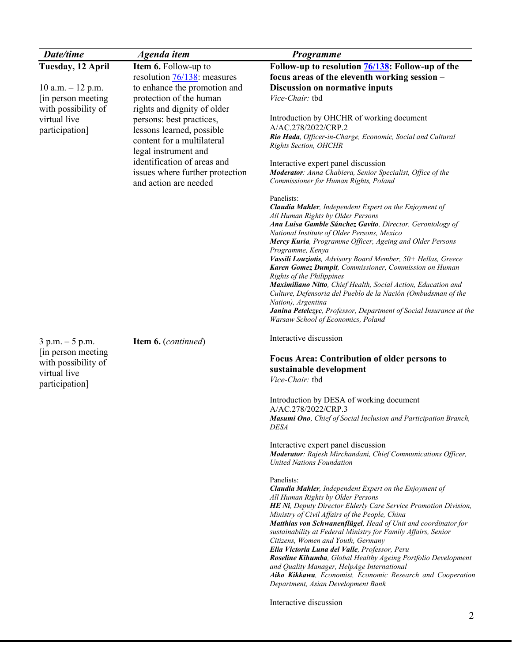| <b>Date/time</b>    | Agenda item                            | Programme                                                                                                              |
|---------------------|----------------------------------------|------------------------------------------------------------------------------------------------------------------------|
| Tuesday, 12 April   | Item 6. Follow-up to                   | Follow-up to resolution <b>76/138</b> : Follow-up of the                                                               |
|                     | resolution $\frac{76}{138}$ : measures | focus areas of the eleventh working session -                                                                          |
| 10 a.m. $-$ 12 p.m. | to enhance the promotion and           | Discussion on normative inputs                                                                                         |
| [in person meeting] | protection of the human                | Vice-Chair: tbd                                                                                                        |
| with possibility of | rights and dignity of older            |                                                                                                                        |
| virtual live        | persons: best practices,               | Introduction by OHCHR of working document                                                                              |
| participation]      | lessons learned, possible              | A/AC.278/2022/CRP.2<br>Rio Hada, Officer-in-Charge, Economic, Social and Cultural                                      |
|                     | content for a multilateral             | Rights Section, OHCHR                                                                                                  |
|                     | legal instrument and                   |                                                                                                                        |
|                     | identification of areas and            | Interactive expert panel discussion                                                                                    |
|                     | issues where further protection        | Moderator: Anna Chabiera, Senior Specialist, Office of the                                                             |
|                     | and action are needed                  | Commissioner for Human Rights, Poland                                                                                  |
|                     |                                        | Panelists:                                                                                                             |
|                     |                                        | Claudia Mahler, Independent Expert on the Enjoyment of                                                                 |
|                     |                                        | All Human Rights by Older Persons<br>Ana Luisa Gamble Sánchez Gavito, Director, Gerontology of                         |
|                     |                                        | National Institute of Older Persons, Mexico                                                                            |
|                     |                                        | Mercy Kuria, Programme Officer, Ageing and Older Persons                                                               |
|                     |                                        | Programme, Kenya                                                                                                       |
|                     |                                        | Vassili Louziotis, Advisory Board Member, 50+ Hellas, Greece<br>Karen Gomez Dumpit, Commissioner, Commission on Human  |
|                     |                                        | Rights of the Philippines                                                                                              |
|                     |                                        | Maximiliano Nitto, Chief Health, Social Action, Education and                                                          |
|                     |                                        | Culture, Defensoria del Pueblo de la Nación (Ombudsman of the                                                          |
|                     |                                        | Nation), Argentina<br>Janina Petelczyc, Professor, Department of Social Insurance at the                               |
|                     |                                        | Warsaw School of Economics, Poland                                                                                     |
|                     |                                        |                                                                                                                        |
| $3 p.m. - 5 p.m.$   | Item 6. (continued)                    | Interactive discussion                                                                                                 |
| [in person meeting] |                                        |                                                                                                                        |
| with possibility of |                                        | <b>Focus Area: Contribution of older persons to</b><br>sustainable development                                         |
| virtual live        |                                        | Vice-Chair: tbd                                                                                                        |
| participation]      |                                        |                                                                                                                        |
|                     |                                        | Introduction by DESA of working document                                                                               |
|                     |                                        | A/AC.278/2022/CRP.3                                                                                                    |
|                     |                                        | Masumi Ono, Chief of Social Inclusion and Participation Branch,                                                        |
|                     |                                        | <i>DESA</i>                                                                                                            |
|                     |                                        | Interactive expert panel discussion                                                                                    |
|                     |                                        | Moderator: Rajesh Mirchandani, Chief Communications Officer,                                                           |
|                     |                                        | <b>United Nations Foundation</b>                                                                                       |
|                     |                                        | Panelists:                                                                                                             |
|                     |                                        | Claudia Mahler, Independent Expert on the Enjoyment of                                                                 |
|                     |                                        | All Human Rights by Older Persons                                                                                      |
|                     |                                        | HE Ni, Deputy Director Elderly Care Service Promotion Division,<br>Ministry of Civil Affairs of the People, China      |
|                     |                                        | Matthias von Schwanenflügel, Head of Unit and coordinator for                                                          |
|                     |                                        | sustainability at Federal Ministry for Family Affairs, Senior                                                          |
|                     |                                        | Citizens, Women and Youth, Germany                                                                                     |
|                     |                                        | Elia Victoria Luna del Valle, Professor, Peru<br><b>Roseline Kihumba</b> , Global Healthy Ageing Portfolio Development |
|                     |                                        | and Quality Manager, HelpAge International                                                                             |
|                     |                                        | Aiko Kikkawa, Economist, Economic Research and Cooperation                                                             |
|                     |                                        | Department, Asian Development Bank                                                                                     |
|                     |                                        | Interactive discussion                                                                                                 |
|                     |                                        | 2                                                                                                                      |
|                     |                                        |                                                                                                                        |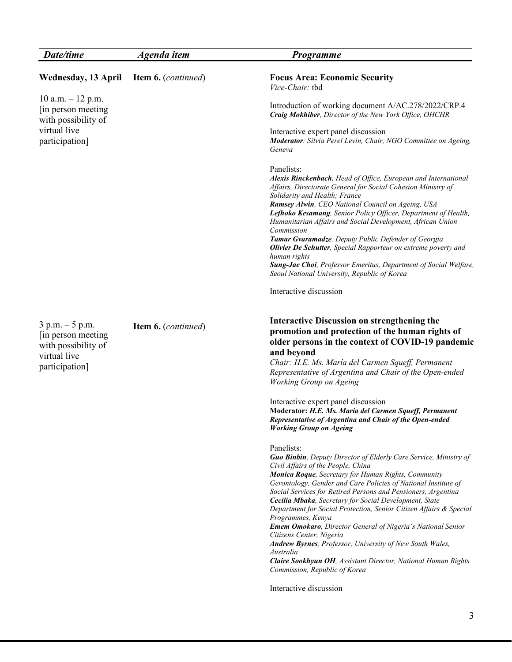| Date/time                                                                                         | Agenda item         | Programme                                                                                                                                                                                                                                                                                                                                                                                                                                                                                                                                                                                                                                                                                                                                                           |
|---------------------------------------------------------------------------------------------------|---------------------|---------------------------------------------------------------------------------------------------------------------------------------------------------------------------------------------------------------------------------------------------------------------------------------------------------------------------------------------------------------------------------------------------------------------------------------------------------------------------------------------------------------------------------------------------------------------------------------------------------------------------------------------------------------------------------------------------------------------------------------------------------------------|
| Wednesday, 13 April                                                                               | Item 6. (continued) | <b>Focus Area: Economic Security</b><br>Vice-Chair: tbd                                                                                                                                                                                                                                                                                                                                                                                                                                                                                                                                                                                                                                                                                                             |
| $10$ a.m. $-12$ p.m.<br>[in person meeting]<br>with possibility of                                |                     | Introduction of working document A/AC.278/2022/CRP.4<br>Craig Mokhiber, Director of the New York Office, OHCHR                                                                                                                                                                                                                                                                                                                                                                                                                                                                                                                                                                                                                                                      |
| virtual live<br>participation]                                                                    |                     | Interactive expert panel discussion<br>Moderator: Silvia Perel Levin, Chair, NGO Committee on Ageing,<br>Geneva                                                                                                                                                                                                                                                                                                                                                                                                                                                                                                                                                                                                                                                     |
|                                                                                                   |                     | Panelists:<br>Alexis Rinckenbach, Head of Office, European and International<br>Affairs, Directorate General for Social Cohesion Ministry of<br>Solidarity and Health; France<br>Ramsey Alwin, CEO National Council on Ageing, USA<br>Lefhoko Kesamang, Senior Policy Officer, Department of Health,<br>Humanitarian Affairs and Social Development, African Union<br>Commission<br>Tamar Gvaramadze, Deputy Public Defender of Georgia<br><b>Olivier De Schutter</b> , Special Rapporteur on extreme poverty and<br>human rights<br><b>Sung-Jae Choi</b> , Professor Emeritus, Department of Social Welfare,<br>Seoul National University, Republic of Korea                                                                                                       |
|                                                                                                   |                     | Interactive discussion                                                                                                                                                                                                                                                                                                                                                                                                                                                                                                                                                                                                                                                                                                                                              |
| $3 p.m. - 5 p.m.$<br>[in person meeting]<br>with possibility of<br>virtual live<br>participation] | Item 6. (continued) | <b>Interactive Discussion on strengthening the</b><br>promotion and protection of the human rights of<br>older persons in the context of COVID-19 pandemic<br>and beyond<br>Chair: H.E. Ms. María del Carmen Squeff, Permanent<br>Representative of Argentina and Chair of the Open-ended<br>Working Group on Ageing                                                                                                                                                                                                                                                                                                                                                                                                                                                |
|                                                                                                   |                     | Interactive expert panel discussion<br>Moderator: H.E. Ms. María del Carmen Squeff, Permanent<br>Representative of Argentina and Chair of the Open-ended<br><b>Working Group on Ageing</b>                                                                                                                                                                                                                                                                                                                                                                                                                                                                                                                                                                          |
|                                                                                                   |                     | Panelists:<br>Guo Binbin, Deputy Director of Elderly Care Service, Ministry of<br>Civil Affairs of the People, China<br>Monica Roque, Secretary for Human Rights, Community<br>Gerontology, Gender and Care Policies of National Institute of<br>Social Services for Retired Persons and Pensioners, Argentina<br>Cecilia Mbaka, Secretary for Social Development, State<br>Department for Social Protection, Senior Citizen Affairs & Special<br>Programmes, Kenya<br>Emem Omokaro, Director General of Nigeria's National Senior<br>Citizens Center, Nigeria<br>Andrew Byrnes, Professor, University of New South Wales,<br>Australia<br>Claire Sookhyun OH, Assistant Director, National Human Rights<br>Commission, Republic of Korea<br>Interactive discussion |